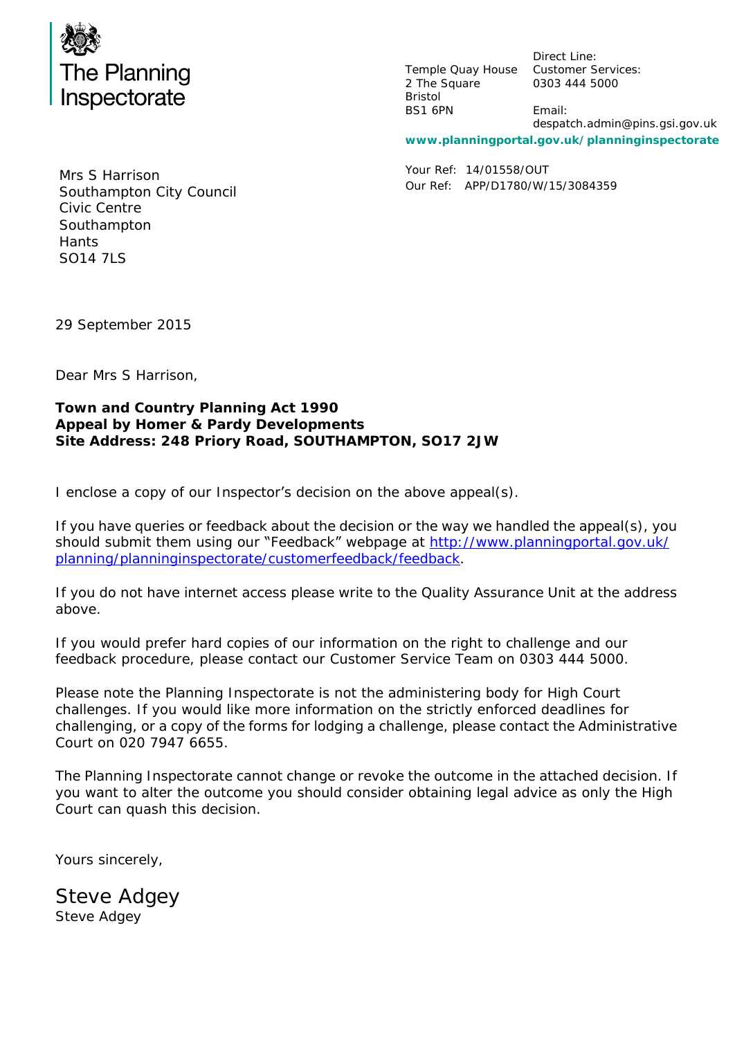

Temple Quay House Customer Services: 2 The Square Bristol BS1 6PN

Direct Line: 0303 444 5000

Email: despatch.admin@pins.gsi.gov.uk

**www.planningportal.gov.uk/planninginspectorate**

Your Ref: 14/01558/OUT Our Ref: APP/D1780/W/15/3084359

Mrs S Harrison Southampton City Council Civic Centre Southampton **Hants** SO14 7LS

29 September 2015

Dear Mrs S Harrison,

**Town and Country Planning Act 1990 Appeal by Homer & Pardy Developments Site Address: 248 Priory Road, SOUTHAMPTON, SO17 2JW**

I enclose a copy of our Inspector's decision on the above appeal(s).

If you have queries or feedback about the decision or the way we handled the appeal(s), you should submit them using our "Feedback" webpage at [http://www.planningportal.gov.uk/](http://www.planningportal.gov.uk/planning/planninginspectorate/customerfeedback/feedback) [planning/planninginspectorate/customerfeedback/feedback.](http://www.planningportal.gov.uk/planning/planninginspectorate/customerfeedback/feedback)

If you do not have internet access please write to the Quality Assurance Unit at the address above.

If you would prefer hard copies of our information on the right to challenge and our feedback procedure, please contact our Customer Service Team on 0303 444 5000.

Please note the Planning Inspectorate is not the administering body for High Court challenges. If you would like more information on the strictly enforced deadlines for challenging, or a copy of the forms for lodging a challenge, please contact the Administrative Court on 020 7947 6655.

The Planning Inspectorate cannot change or revoke the outcome in the attached decision. If you want to alter the outcome you should consider obtaining legal advice as only the High Court can quash this decision.

Yours sincerely,

*Steve Adgey* Steve Adgey